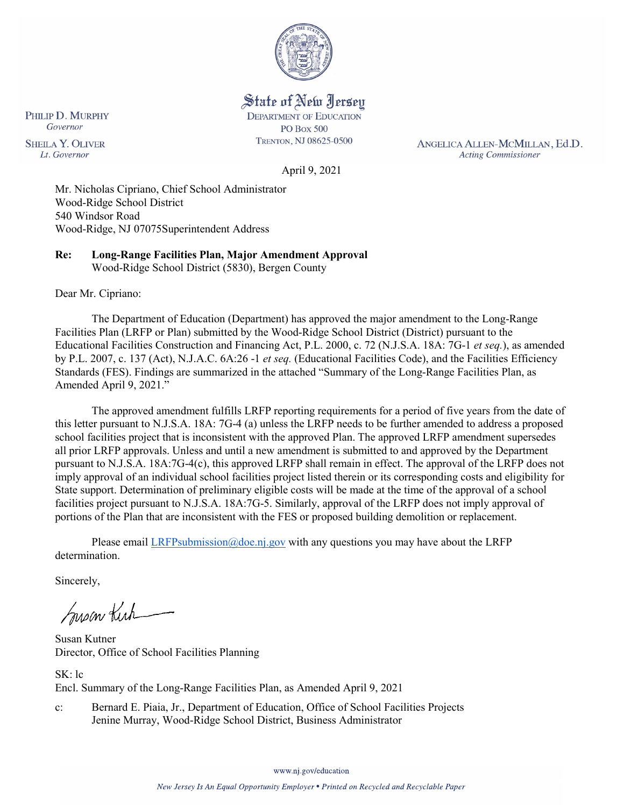

State of New Jersey **DEPARTMENT OF EDUCATION PO Box 500** 

TRENTON, NJ 08625-0500

ANGELICA ALLEN-MCMILLAN, Ed.D. **Acting Commissioner** 

April 9, 2021

Mr. Nicholas Cipriano, Chief School Administrator Wood-Ridge School District 540 Windsor Road Wood-Ridge, NJ 07075Superintendent Address

**Re: Long-Range Facilities Plan, Major Amendment Approval**  Wood-Ridge School District (5830), Bergen County

Dear Mr. Cipriano:

The Department of Education (Department) has approved the major amendment to the Long-Range Facilities Plan (LRFP or Plan) submitted by the Wood-Ridge School District (District) pursuant to the Educational Facilities Construction and Financing Act, P.L. 2000, c. 72 (N.J.S.A. 18A: 7G-1 *et seq.*), as amended by P.L. 2007, c. 137 (Act), N.J.A.C. 6A:26 -1 *et seq.* (Educational Facilities Code), and the Facilities Efficiency Standards (FES). Findings are summarized in the attached "Summary of the Long-Range Facilities Plan, as Amended April 9, 2021."

The approved amendment fulfills LRFP reporting requirements for a period of five years from the date of this letter pursuant to N.J.S.A. 18A: 7G-4 (a) unless the LRFP needs to be further amended to address a proposed school facilities project that is inconsistent with the approved Plan. The approved LRFP amendment supersedes all prior LRFP approvals. Unless and until a new amendment is submitted to and approved by the Department pursuant to N.J.S.A. 18A:7G-4(c), this approved LRFP shall remain in effect. The approval of the LRFP does not imply approval of an individual school facilities project listed therein or its corresponding costs and eligibility for State support. Determination of preliminary eligible costs will be made at the time of the approval of a school facilities project pursuant to N.J.S.A. 18A:7G-5. Similarly, approval of the LRFP does not imply approval of portions of the Plan that are inconsistent with the FES or proposed building demolition or replacement.

Please email [LRFPsubmission@doe.nj.gov](mailto:LRFPsubmission@doe.nj.gov) with any questions you may have about the LRFP determination.

Sincerely,

Susan Kich

Susan Kutner Director, Office of School Facilities Planning

SK: lc Encl. Summary of the Long-Range Facilities Plan, as Amended April 9, 2021

c: Bernard E. Piaia, Jr., Department of Education, Office of School Facilities Projects Jenine Murray, Wood-Ridge School District, Business Administrator

www.nj.gov/education

PHILIP D. MURPHY Governor **SHEILA Y. OLIVER** Lt. Governor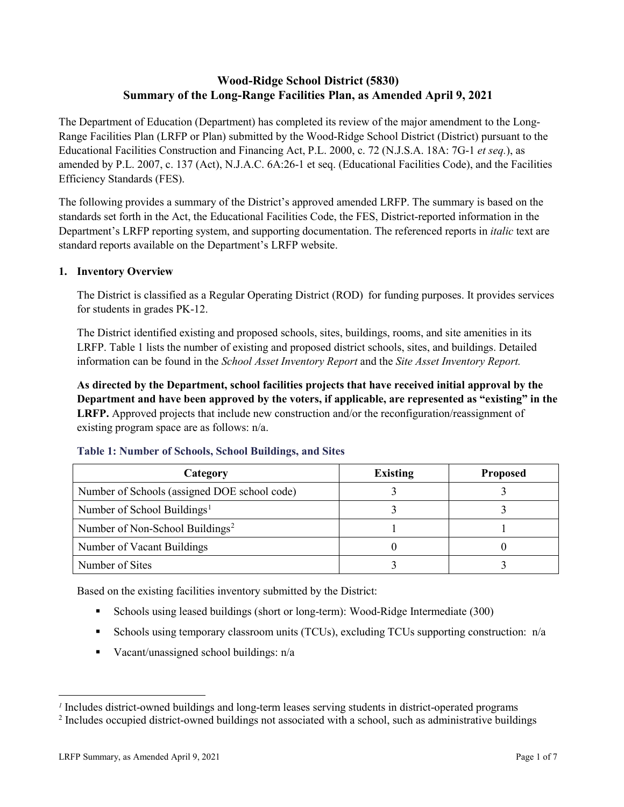# **Wood-Ridge School District (5830) Summary of the Long-Range Facilities Plan, as Amended April 9, 2021**

The Department of Education (Department) has completed its review of the major amendment to the Long-Range Facilities Plan (LRFP or Plan) submitted by the Wood-Ridge School District (District) pursuant to the Educational Facilities Construction and Financing Act, P.L. 2000, c. 72 (N.J.S.A. 18A: 7G-1 *et seq.*), as amended by P.L. 2007, c. 137 (Act), N.J.A.C. 6A:26-1 et seq. (Educational Facilities Code), and the Facilities Efficiency Standards (FES).

The following provides a summary of the District's approved amended LRFP. The summary is based on the standards set forth in the Act, the Educational Facilities Code, the FES, District-reported information in the Department's LRFP reporting system, and supporting documentation. The referenced reports in *italic* text are standard reports available on the Department's LRFP website.

### **1. Inventory Overview**

The District is classified as a Regular Operating District (ROD) for funding purposes. It provides services for students in grades PK-12.

The District identified existing and proposed schools, sites, buildings, rooms, and site amenities in its LRFP. Table 1 lists the number of existing and proposed district schools, sites, and buildings. Detailed information can be found in the *School Asset Inventory Report* and the *Site Asset Inventory Report.*

**As directed by the Department, school facilities projects that have received initial approval by the Department and have been approved by the voters, if applicable, are represented as "existing" in the LRFP.** Approved projects that include new construction and/or the reconfiguration/reassignment of existing program space are as follows: n/a.

| Category                                     | <b>Existing</b> | <b>Proposed</b> |
|----------------------------------------------|-----------------|-----------------|
| Number of Schools (assigned DOE school code) |                 |                 |
| Number of School Buildings <sup>1</sup>      |                 |                 |
| Number of Non-School Buildings <sup>2</sup>  |                 |                 |
| Number of Vacant Buildings                   |                 |                 |
| Number of Sites                              |                 |                 |

#### **Table 1: Number of Schools, School Buildings, and Sites**

Based on the existing facilities inventory submitted by the District:

- Schools using leased buildings (short or long-term): Wood-Ridge Intermediate (300)
- Schools using temporary classroom units (TCUs), excluding TCUs supporting construction: n/a
- Vacant/unassigned school buildings:  $n/a$

 $\overline{a}$ 

<span id="page-1-1"></span><span id="page-1-0"></span>*<sup>1</sup>* Includes district-owned buildings and long-term leases serving students in district-operated programs

<sup>&</sup>lt;sup>2</sup> Includes occupied district-owned buildings not associated with a school, such as administrative buildings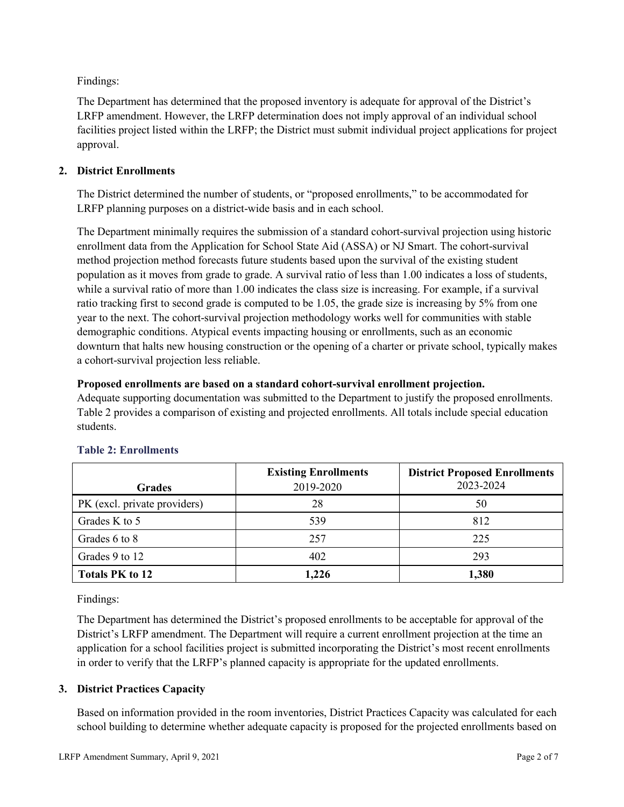Findings:

The Department has determined that the proposed inventory is adequate for approval of the District's LRFP amendment. However, the LRFP determination does not imply approval of an individual school facilities project listed within the LRFP; the District must submit individual project applications for project approval.

# **2. District Enrollments**

The District determined the number of students, or "proposed enrollments," to be accommodated for LRFP planning purposes on a district-wide basis and in each school.

The Department minimally requires the submission of a standard cohort-survival projection using historic enrollment data from the Application for School State Aid (ASSA) or NJ Smart. The cohort-survival method projection method forecasts future students based upon the survival of the existing student population as it moves from grade to grade. A survival ratio of less than 1.00 indicates a loss of students, while a survival ratio of more than 1.00 indicates the class size is increasing. For example, if a survival ratio tracking first to second grade is computed to be 1.05, the grade size is increasing by 5% from one year to the next. The cohort-survival projection methodology works well for communities with stable demographic conditions. Atypical events impacting housing or enrollments, such as an economic downturn that halts new housing construction or the opening of a charter or private school, typically makes a cohort-survival projection less reliable.

### **Proposed enrollments are based on a standard cohort-survival enrollment projection.**

Adequate supporting documentation was submitted to the Department to justify the proposed enrollments. Table 2 provides a comparison of existing and projected enrollments. All totals include special education students.

|                              | <b>Existing Enrollments</b> | <b>District Proposed Enrollments</b> |
|------------------------------|-----------------------------|--------------------------------------|
| <b>Grades</b>                | 2019-2020                   | 2023-2024                            |
| PK (excl. private providers) | 28                          | 50                                   |
| Grades K to 5                | 539                         | 812                                  |
| Grades 6 to 8                | 257                         | 225                                  |
| Grades 9 to 12               | 402                         | 293                                  |
| <b>Totals PK to 12</b>       | 1,226                       | 1,380                                |

# **Table 2: Enrollments**

Findings:

The Department has determined the District's proposed enrollments to be acceptable for approval of the District's LRFP amendment. The Department will require a current enrollment projection at the time an application for a school facilities project is submitted incorporating the District's most recent enrollments in order to verify that the LRFP's planned capacity is appropriate for the updated enrollments.

# **3. District Practices Capacity**

Based on information provided in the room inventories, District Practices Capacity was calculated for each school building to determine whether adequate capacity is proposed for the projected enrollments based on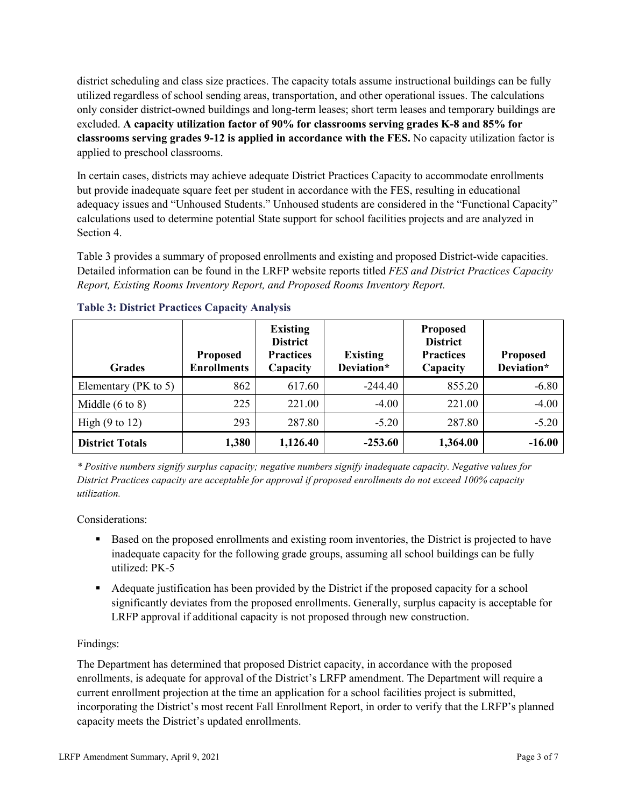district scheduling and class size practices. The capacity totals assume instructional buildings can be fully utilized regardless of school sending areas, transportation, and other operational issues. The calculations only consider district-owned buildings and long-term leases; short term leases and temporary buildings are excluded. **A capacity utilization factor of 90% for classrooms serving grades K-8 and 85% for classrooms serving grades 9-12 is applied in accordance with the FES.** No capacity utilization factor is applied to preschool classrooms.

In certain cases, districts may achieve adequate District Practices Capacity to accommodate enrollments but provide inadequate square feet per student in accordance with the FES, resulting in educational adequacy issues and "Unhoused Students." Unhoused students are considered in the "Functional Capacity" calculations used to determine potential State support for school facilities projects and are analyzed in Section 4.

Table 3 provides a summary of proposed enrollments and existing and proposed District-wide capacities. Detailed information can be found in the LRFP website reports titled *FES and District Practices Capacity Report, Existing Rooms Inventory Report, and Proposed Rooms Inventory Report.*

| <b>Grades</b>              | <b>Proposed</b><br><b>Enrollments</b> | <b>Existing</b><br><b>District</b><br><b>Practices</b><br>Capacity | <b>Existing</b><br>Deviation* | <b>Proposed</b><br><b>District</b><br><b>Practices</b><br>Capacity | <b>Proposed</b><br>Deviation* |
|----------------------------|---------------------------------------|--------------------------------------------------------------------|-------------------------------|--------------------------------------------------------------------|-------------------------------|
| Elementary ( $PK$ to 5)    | 862                                   | 617.60                                                             | $-244.40$                     | 855.20                                                             | $-6.80$                       |
| Middle $(6 \text{ to } 8)$ | 225                                   | 221.00                                                             | $-4.00$                       | 221.00                                                             | $-4.00$                       |
| High $(9 \text{ to } 12)$  | 293                                   | 287.80                                                             | $-5.20$                       | 287.80                                                             | $-5.20$                       |
| <b>District Totals</b>     | 1,380                                 | 1,126.40                                                           | $-253.60$                     | 1,364.00                                                           | $-16.00$                      |

# **Table 3: District Practices Capacity Analysis**

*\* Positive numbers signify surplus capacity; negative numbers signify inadequate capacity. Negative values for District Practices capacity are acceptable for approval if proposed enrollments do not exceed 100% capacity utilization.*

Considerations:

- Based on the proposed enrollments and existing room inventories, the District is projected to have inadequate capacity for the following grade groups, assuming all school buildings can be fully utilized: PK-5
- Adequate justification has been provided by the District if the proposed capacity for a school significantly deviates from the proposed enrollments. Generally, surplus capacity is acceptable for LRFP approval if additional capacity is not proposed through new construction.

# Findings:

The Department has determined that proposed District capacity, in accordance with the proposed enrollments, is adequate for approval of the District's LRFP amendment. The Department will require a current enrollment projection at the time an application for a school facilities project is submitted, incorporating the District's most recent Fall Enrollment Report, in order to verify that the LRFP's planned capacity meets the District's updated enrollments.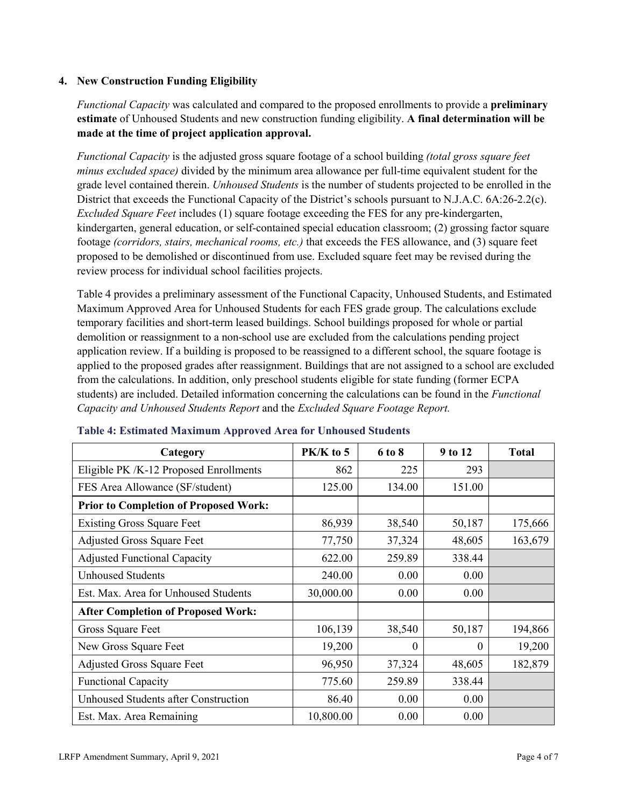### **4. New Construction Funding Eligibility**

*Functional Capacity* was calculated and compared to the proposed enrollments to provide a **preliminary estimate** of Unhoused Students and new construction funding eligibility. **A final determination will be made at the time of project application approval.**

*Functional Capacity* is the adjusted gross square footage of a school building *(total gross square feet minus excluded space)* divided by the minimum area allowance per full-time equivalent student for the grade level contained therein. *Unhoused Students* is the number of students projected to be enrolled in the District that exceeds the Functional Capacity of the District's schools pursuant to N.J.A.C. 6A:26-2.2(c). *Excluded Square Feet* includes (1) square footage exceeding the FES for any pre-kindergarten, kindergarten, general education, or self-contained special education classroom; (2) grossing factor square footage *(corridors, stairs, mechanical rooms, etc.)* that exceeds the FES allowance, and (3) square feet proposed to be demolished or discontinued from use. Excluded square feet may be revised during the review process for individual school facilities projects.

Table 4 provides a preliminary assessment of the Functional Capacity, Unhoused Students, and Estimated Maximum Approved Area for Unhoused Students for each FES grade group. The calculations exclude temporary facilities and short-term leased buildings. School buildings proposed for whole or partial demolition or reassignment to a non-school use are excluded from the calculations pending project application review. If a building is proposed to be reassigned to a different school, the square footage is applied to the proposed grades after reassignment. Buildings that are not assigned to a school are excluded from the calculations. In addition, only preschool students eligible for state funding (former ECPA students) are included. Detailed information concerning the calculations can be found in the *Functional Capacity and Unhoused Students Report* and the *Excluded Square Footage Report.*

| Category                                     | PK/K to 5 | 6 to 8 | 9 to 12  | <b>Total</b> |
|----------------------------------------------|-----------|--------|----------|--------------|
| Eligible PK /K-12 Proposed Enrollments       | 862       | 225    | 293      |              |
| FES Area Allowance (SF/student)              | 125.00    | 134.00 | 151.00   |              |
| <b>Prior to Completion of Proposed Work:</b> |           |        |          |              |
| <b>Existing Gross Square Feet</b>            | 86,939    | 38,540 | 50,187   | 175,666      |
| <b>Adjusted Gross Square Feet</b>            | 77,750    | 37,324 | 48,605   | 163,679      |
| <b>Adjusted Functional Capacity</b>          | 622.00    | 259.89 | 338.44   |              |
| <b>Unhoused Students</b>                     | 240.00    | 0.00   | 0.00     |              |
| Est. Max. Area for Unhoused Students         | 30,000.00 | 0.00   | 0.00     |              |
| <b>After Completion of Proposed Work:</b>    |           |        |          |              |
| Gross Square Feet                            | 106,139   | 38,540 | 50,187   | 194,866      |
| New Gross Square Feet                        | 19,200    | 0      | $\theta$ | 19,200       |
| <b>Adjusted Gross Square Feet</b>            | 96,950    | 37,324 | 48,605   | 182,879      |
| <b>Functional Capacity</b>                   | 775.60    | 259.89 | 338.44   |              |
| <b>Unhoused Students after Construction</b>  | 86.40     | 0.00   | 0.00     |              |
| Est. Max. Area Remaining                     | 10,800.00 | 0.00   | 0.00     |              |

#### **Table 4: Estimated Maximum Approved Area for Unhoused Students**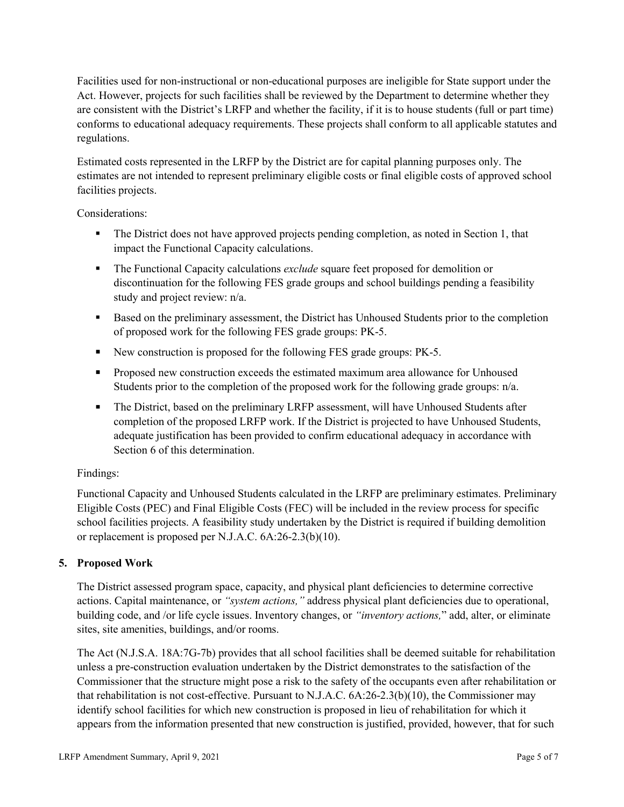Facilities used for non-instructional or non-educational purposes are ineligible for State support under the Act. However, projects for such facilities shall be reviewed by the Department to determine whether they are consistent with the District's LRFP and whether the facility, if it is to house students (full or part time) conforms to educational adequacy requirements. These projects shall conform to all applicable statutes and regulations.

Estimated costs represented in the LRFP by the District are for capital planning purposes only. The estimates are not intended to represent preliminary eligible costs or final eligible costs of approved school facilities projects.

Considerations:

- The District does not have approved projects pending completion, as noted in Section 1, that impact the Functional Capacity calculations.
- **The Functional Capacity calculations** *exclude* square feet proposed for demolition or discontinuation for the following FES grade groups and school buildings pending a feasibility study and project review: n/a.
- Based on the preliminary assessment, the District has Unhoused Students prior to the completion of proposed work for the following FES grade groups: PK-5.
- New construction is proposed for the following FES grade groups: PK-5.
- Proposed new construction exceeds the estimated maximum area allowance for Unhoused Students prior to the completion of the proposed work for the following grade groups: n/a.
- The District, based on the preliminary LRFP assessment, will have Unhoused Students after completion of the proposed LRFP work. If the District is projected to have Unhoused Students, adequate justification has been provided to confirm educational adequacy in accordance with Section 6 of this determination.

# Findings:

Functional Capacity and Unhoused Students calculated in the LRFP are preliminary estimates. Preliminary Eligible Costs (PEC) and Final Eligible Costs (FEC) will be included in the review process for specific school facilities projects. A feasibility study undertaken by the District is required if building demolition or replacement is proposed per N.J.A.C. 6A:26-2.3(b)(10).

# **5. Proposed Work**

The District assessed program space, capacity, and physical plant deficiencies to determine corrective actions. Capital maintenance, or *"system actions,"* address physical plant deficiencies due to operational, building code, and /or life cycle issues. Inventory changes, or *"inventory actions,*" add, alter, or eliminate sites, site amenities, buildings, and/or rooms.

The Act (N.J.S.A. 18A:7G-7b) provides that all school facilities shall be deemed suitable for rehabilitation unless a pre-construction evaluation undertaken by the District demonstrates to the satisfaction of the Commissioner that the structure might pose a risk to the safety of the occupants even after rehabilitation or that rehabilitation is not cost-effective. Pursuant to N.J.A.C. 6A:26-2.3(b)(10), the Commissioner may identify school facilities for which new construction is proposed in lieu of rehabilitation for which it appears from the information presented that new construction is justified, provided, however, that for such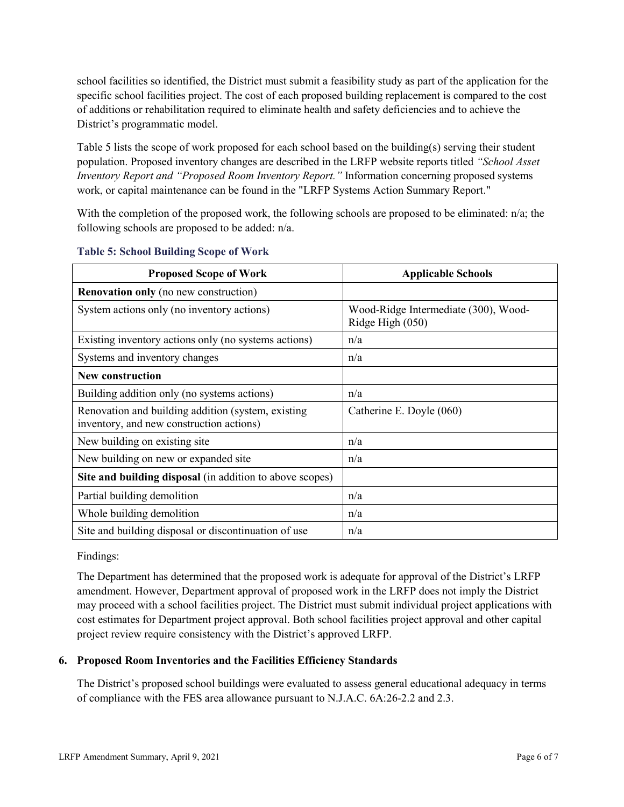school facilities so identified, the District must submit a feasibility study as part of the application for the specific school facilities project. The cost of each proposed building replacement is compared to the cost of additions or rehabilitation required to eliminate health and safety deficiencies and to achieve the District's programmatic model.

Table 5 lists the scope of work proposed for each school based on the building(s) serving their student population. Proposed inventory changes are described in the LRFP website reports titled *"School Asset Inventory Report and "Proposed Room Inventory Report."* Information concerning proposed systems work, or capital maintenance can be found in the "LRFP Systems Action Summary Report."

With the completion of the proposed work, the following schools are proposed to be eliminated:  $n/a$ ; the following schools are proposed to be added: n/a.

| <b>Proposed Scope of Work</b>                                                                  | <b>Applicable Schools</b>                                |
|------------------------------------------------------------------------------------------------|----------------------------------------------------------|
| <b>Renovation only</b> (no new construction)                                                   |                                                          |
| System actions only (no inventory actions)                                                     | Wood-Ridge Intermediate (300), Wood-<br>Ridge High (050) |
| Existing inventory actions only (no systems actions)                                           | n/a                                                      |
| Systems and inventory changes                                                                  | n/a                                                      |
| <b>New construction</b>                                                                        |                                                          |
| Building addition only (no systems actions)                                                    | n/a                                                      |
| Renovation and building addition (system, existing<br>inventory, and new construction actions) | Catherine E. Doyle (060)                                 |
| New building on existing site.                                                                 | n/a                                                      |
| New building on new or expanded site                                                           | n/a                                                      |
| Site and building disposal (in addition to above scopes)                                       |                                                          |
| Partial building demolition                                                                    | n/a                                                      |
| Whole building demolition                                                                      | n/a                                                      |
| Site and building disposal or discontinuation of use                                           | n/a                                                      |

#### **Table 5: School Building Scope of Work**

Findings:

The Department has determined that the proposed work is adequate for approval of the District's LRFP amendment. However, Department approval of proposed work in the LRFP does not imply the District may proceed with a school facilities project. The District must submit individual project applications with cost estimates for Department project approval. Both school facilities project approval and other capital project review require consistency with the District's approved LRFP.

# **6. Proposed Room Inventories and the Facilities Efficiency Standards**

The District's proposed school buildings were evaluated to assess general educational adequacy in terms of compliance with the FES area allowance pursuant to N.J.A.C. 6A:26-2.2 and 2.3.